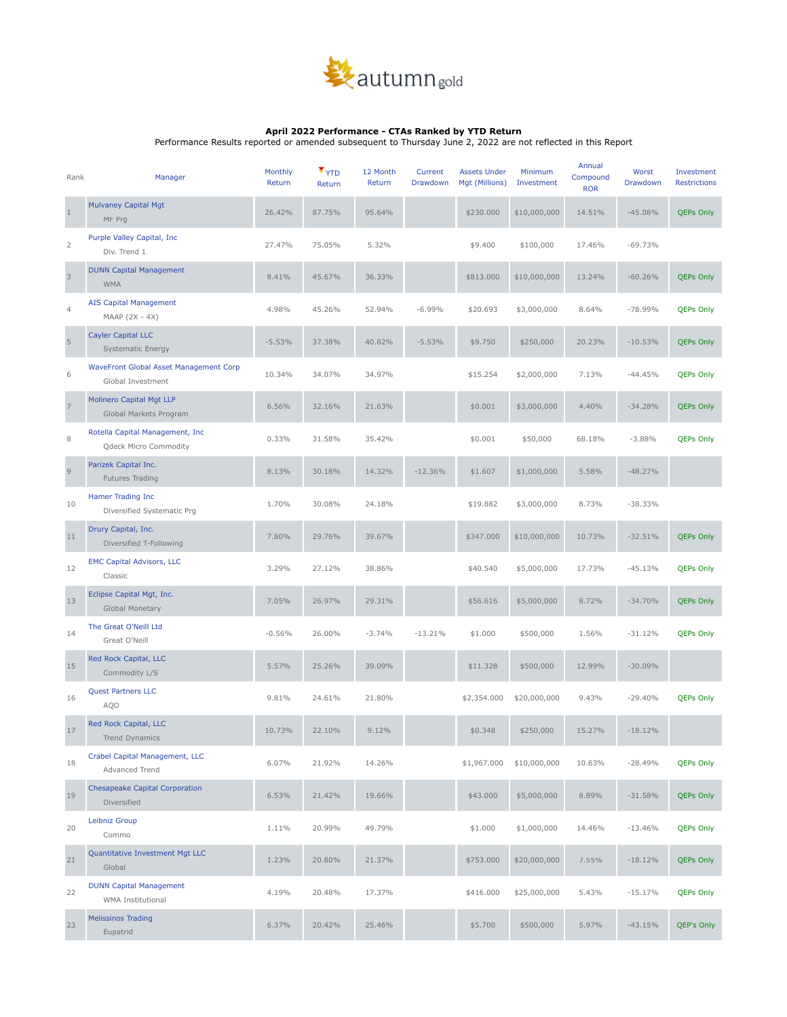

## **April 2022 Performance - CTAs Ranked by YTD Return**

Performance Results reported or amended subsequent to Thursday June 2, 2022 are not reflected in this Report

| Rank                      | Manager                                                     | Monthly<br>Return | $\blacktriangledown$<br>Return | 12 Month<br>Return | Current<br>Drawdown | <b>Assets Under</b><br>Mgt (Millions) | Minimum<br>Investment | Annual<br>Compound<br><b>ROR</b> | Worst<br>Drawdown | Investment<br><b>Restrictions</b> |
|---------------------------|-------------------------------------------------------------|-------------------|--------------------------------|--------------------|---------------------|---------------------------------------|-----------------------|----------------------------------|-------------------|-----------------------------------|
| $\mathbf{1}$              | <b>Mulvaney Capital Mgt</b><br>MF Prg                       | 26.42%            | 87.75%                         | 95.64%             |                     | \$230.000                             | \$10,000,000          | 14.51%                           | $-45.08%$         | <b>QEPs Only</b>                  |
| 2                         | Purple Valley Capital, Inc.<br>Div. Trend 1                 | 27.47%            | 75.05%                         | 5.32%              |                     | \$9.400                               | \$100,000             | 17.46%                           | $-69.73%$         |                                   |
| $\ensuremath{\mathsf{3}}$ | <b>DUNN Capital Management</b><br><b>WMA</b>                | 8.41%             | 45.67%                         | 36.33%             |                     | \$813.000                             | \$10,000,000          | 13.24%                           | $-60.26%$         | <b>QEPs Only</b>                  |
| $\overline{4}$            | <b>AIS Capital Management</b><br>$MAAP (2X - 4X)$           | 4.98%             | 45.26%                         | 52.94%             | $-6.99%$            | \$20.693                              | \$3,000,000           | 8.64%                            | $-78.99%$         | <b>QEPs Only</b>                  |
| $\sqrt{5}$                | <b>Cayler Capital LLC</b><br><b>Systematic Energy</b>       | $-5.53%$          | 37.38%                         | 40.82%             | $-5.53%$            | \$9.750                               | \$250,000             | 20.23%                           | $-10.53%$         | <b>QEPs Only</b>                  |
| 6                         | WaveFront Global Asset Management Corp<br>Global Investment | 10.34%            | 34.07%                         | 34.97%             |                     | \$15.254                              | \$2,000,000           | 7.13%                            | $-44.45%$         | <b>QEPs Only</b>                  |
| $\overline{7}$            | <b>Molinero Capital Mgt LLP</b><br>Global Markets Program   | 6.56%             | 32.16%                         | 21.63%             |                     | \$0.001                               | \$3,000,000           | 4.40%                            | $-34.28%$         | <b>QEPs Only</b>                  |
| 8                         | Rotella Capital Management, Inc<br>Qdeck Micro Commodity    | 0.33%             | 31.58%                         | 35.42%             |                     | \$0.001                               | \$50,000              | 68.18%                           | $-3.88%$          | <b>QEPs Only</b>                  |
| $\mathsf 9$               | Parizek Capital Inc.<br>Futures Trading                     | 8.13%             | 30.18%                         | 14.32%             | $-12.36%$           | \$1.607                               | \$1,000,000           | 5.58%                            | $-48.27%$         |                                   |
| 10                        | Hamer Trading Inc<br>Diversified Systematic Prg             | 1.70%             | 30.08%                         | 24.18%             |                     | \$19.882                              | \$3,000,000           | 8.73%                            | $-38.33%$         |                                   |
| 11                        | Drury Capital, Inc.<br>Diversified T-Following              | 7.80%             | 29.76%                         | 39.67%             |                     | \$347.000                             | \$10,000,000          | 10.73%                           | $-32.51%$         | <b>QEPs Only</b>                  |
| 12                        | <b>EMC Capital Advisors, LLC</b><br>Classic                 | 3.29%             | 27.12%                         | 38.86%             |                     | \$40.540                              | \$5,000,000           | 17.73%                           | $-45.13%$         | <b>QEPs Only</b>                  |
| 13                        | Eclipse Capital Mgt, Inc.<br>Global Monetary                | 7.05%             | 26.97%                         | 29.31%             |                     | \$56.616                              | \$5,000,000           | 8.72%                            | $-34.70%$         | <b>QEPs Only</b>                  |
| 14                        | The Great O'Neill Ltd<br>Great O'Neill                      | $-0.56%$          | 26.00%                         | $-3.74%$           | $-13.21%$           | \$1.000                               | \$500,000             | 1.56%                            | $-31.12%$         | <b>QEPs Only</b>                  |
| 15                        | Red Rock Capital, LLC<br>Commodity L/S                      | 5.57%             | 25.26%                         | 39.09%             |                     | \$11.328                              | \$500,000             | 12.99%                           | $-30.09%$         |                                   |
| 16                        | <b>Quest Partners LLC</b><br>AQO                            | 9.81%             | 24.61%                         | 21.80%             |                     | \$2,354.000                           | \$20,000,000          | 9.43%                            | $-29.40%$         | <b>QEPs Only</b>                  |
| 17                        | Red Rock Capital, LLC<br>Trend Dynamics                     | 10.73%            | 22.10%                         | 9.12%              |                     | \$0.348                               | \$250,000             | 15.27%                           | $-18.12%$         |                                   |
| 18                        | Crabel Capital Management, LLC<br>Advanced Trend            | 6.07%             | 21.92%                         | 14.26%             |                     | \$1,967.000                           | \$10,000,000          | 10.63%                           | $-28.49%$         | <b>QEPs Only</b>                  |
| 19                        | <b>Chesapeake Capital Corporation</b><br>Diversified        | 6.53%             | 21.42%                         | 19.66%             |                     | \$43.000                              | \$5,000,000           | 8.89%                            | $-31.58%$         | <b>QEPs Only</b>                  |
| 20                        | Leibniz Group<br>Commo                                      | 1.11%             | 20.99%                         | 49.79%             |                     | \$1.000                               | \$1,000,000           | 14.46%                           | $-13.46%$         | <b>QEPs Only</b>                  |
| 21                        | Quantitative Investment Mgt LLC<br>Global                   | 1.23%             | 20.80%                         | 21.37%             |                     | \$753.000                             | \$20,000,000          | 7.55%                            | $-18.12%$         | <b>QEPs Only</b>                  |
| 22                        | <b>DUNN Capital Management</b><br>WMA Institutional         | 4.19%             | 20.48%                         | 17.37%             |                     | \$416.000                             | \$25,000,000          | 5.43%                            | $-15.17%$         | <b>QEPs Only</b>                  |
| 23                        | <b>Melissinos Trading</b><br>Eupatrid                       | 6.37%             | 20.42%                         | 25.46%             |                     | \$5.700                               | \$500,000             | 5.97%                            | $-43.15%$         | QEP's Only                        |